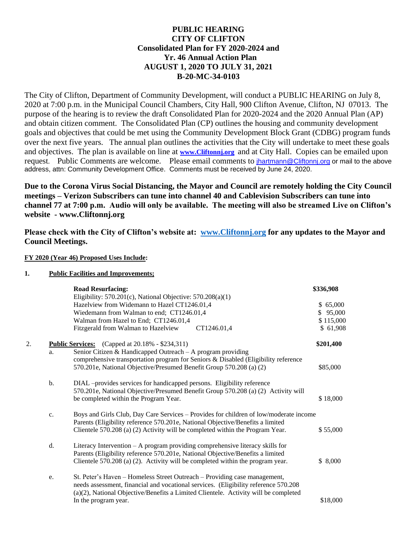## **PUBLIC HEARING CITY OF CLIFTON Consolidated Plan for FY 2020-2024 and Yr. 46 Annual Action Plan AUGUST 1, 2020 TO JULY 31, 2021 B-20-MC-34-0103**

The City of Clifton, Department of Community Development, will conduct a PUBLIC HEARING on July 8, 2020 at 7:00 p.m. in the Municipal Council Chambers, City Hall, 900 Clifton Avenue, Clifton, NJ 07013. The purpose of the hearing is to review the draft Consolidated Plan for 2020-2024 and the 2020 Annual Plan (AP) and obtain citizen comment. The Consolidated Plan (CP) outlines the housing and community development goals and objectives that could be met using the Community Development Block Grant (CDBG) program funds over the next five years. The annual plan outlines the activities that the City will undertake to meet these goals and objectives. The plan is available on line at **[www.Cliftonnj.org](http://www.cliftonnj.org/)** and at City Hall. Copies can be emailed upon request. Public Comments are welcome. Please email comments to *[jhartmann@Cliftonnj.org](mailto:jhartmann@Cliftonnj.org)* or mail to the above address, attn: Community Development Office. Comments must be received by June 24, 2020.

**Due to the Corona Virus Social Distancing, the Mayor and Council are remotely holding the City Council meetings – Verizon Subscribers can tune into channel 40 and Cablevision Subscribers can tune into channel 77 at 7:00 p.m. Audio will only be available. The meeting will also be streamed Live on Clifton's website - www.Cliftonnj.org**

**Please check with the City of Clifton's website at: [www.Cliftonnj.org](http://www.cliftonnj.org/) for any updates to the Mayor and Council Meetings.** 

## **FY 2020 (Year 46) Proposed Uses Include:**

## **1. Public Facilities and Improvements;**

|    |    | <b>Road Resurfacing:</b>                                                              | \$336,908    |
|----|----|---------------------------------------------------------------------------------------|--------------|
|    |    | Eligibility: $570.201(c)$ , National Objective: $570.208(a)(1)$                       |              |
|    |    | Hazelview from Widemann to Hazel CT1246.01,4                                          | 65,000       |
|    |    | Wiedemann from Walman to end; CT1246.01,4                                             | 95,000<br>S. |
|    |    | Walman from Hazel to End; CT1246.01,4                                                 | \$115,000    |
|    |    | Fitzgerald from Walman to Hazelview<br>CT1246.01,4                                    | \$ 61,908    |
| 2. |    | <b>Public Services:</b> (Capped at 20.18% - \$234,311)                                | \$201,400    |
|    | a. | Senior Citizen & Handicapped Outreach $-$ A program providing                         |              |
|    |    | comprehensive transportation program for Seniors & Disabled (Eligibility reference    |              |
|    |    | 570.201e, National Objective/Presumed Benefit Group 570.208 (a) (2)                   | \$85,000     |
|    | b. | DIAL -provides services for handicapped persons. Eligibility reference                |              |
|    |    | 570.201e, National Objective/Presumed Benefit Group 570.208 (a) (2) Activity will     |              |
|    |    | be completed within the Program Year.                                                 | \$18,000     |
|    | c. | Boys and Girls Club, Day Care Services - Provides for children of low/moderate income |              |
|    |    | Parents (Eligibility reference 570.201e, National Objective/Benefits a limited        |              |
|    |    | Clientele 570.208 (a) (2) Activity will be completed within the Program Year.         | \$55,000     |
|    | d. | Literacy Intervention $- A$ program providing comprehensive literacy skills for       |              |
|    |    | Parents (Eligibility reference 570.201e, National Objective/Benefits a limited        |              |
|    |    | Clientele 570.208 (a) (2). Activity will be completed within the program year.        | \$8,000      |
|    | e. | St. Peter's Haven – Homeless Street Outreach – Providing case management,             |              |
|    |    | needs assessment, financial and vocational services. (Eligibility reference 570.208)  |              |
|    |    | (a)(2), National Objective/Benefits a Limited Clientele. Activity will be completed   |              |
|    |    | In the program year.                                                                  | \$18,000     |
|    |    |                                                                                       |              |